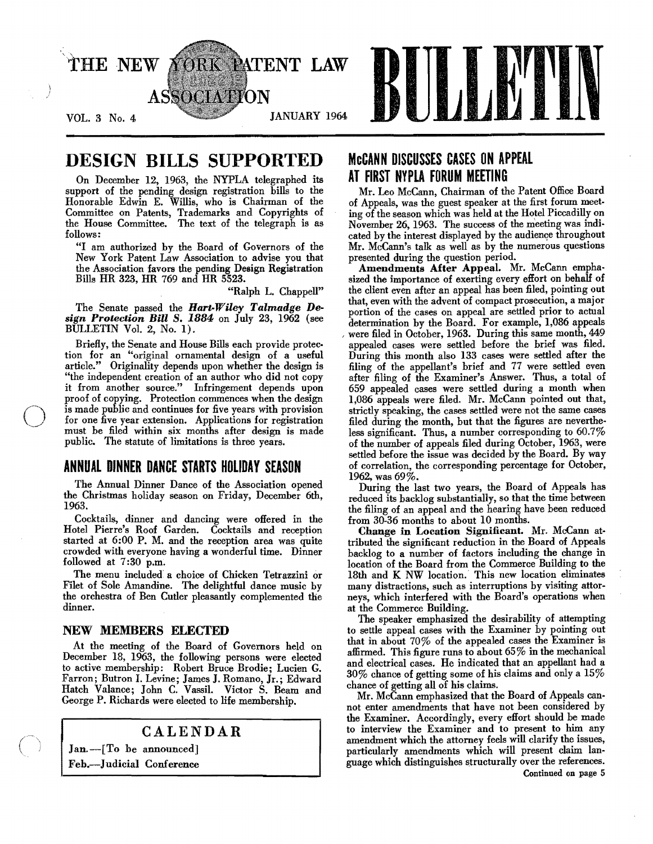

# DESIGN BILLS SUPPORTED

On December 12, 1963, the NYPLA telegraphed its support of the pending design registration bills to the Honorable Edwin E. Willis, who is Chairman of the Committee on Patents, Trademarks and Copyrights of the House Committee. The text of the telegraph is as follows:

"I am authorized by the Board of Governors of the New York Patent Law Association to advise you that the Association favors the pending Design Registration Bills HR 323, HR 769 and HR 5523.

"Ralph L. Chappell"

The Senate passed the *Hart-Wiley Talmadge Design Protection Bill S.* 1884 on July 23, 1962 (see BULLETIN Vol. 2, No.1).

Briefly, the Senate and House Bills each provide protec. tion for an "original ornamental design of a useful article." Originality depends upon whether the design is "the independent creation of an author who did not copy it from another source." Infringement depends upon proof of copying. Protection commences when the design is made public and continues for five years with provision for one five year extension. Applications for registration must be filed within six months after design is made public. The statute of limitations is three years.

# ANNUAL DINNER DANCE STARTS HOLIDAY SEASON

The Annual Dinner Dance of the Association opened the Christmas holiday season on Friday, December 6th, 1963.

Cocktails, dinner and dancing were offered in the Hotel Pierre's Roof Garden. Cocktails and reception started at 6:00 P. M. and the reception area was quite crowded with everyone having a wonderful time. Dinner followed at 7:30 p.m.

The menu included a choice of Chicken Tetrazzini or Filet of Sole Amandine. The delightful dance music by the orchestra of Ben Cutler pleasantly complemented the dinner.

### NEW MEMBERS ELECTED

 $\bigcirc$ 

At the meeting of the Board of Governors held on December 18, 1963, the following persons were elected to active membership: Robert Bruce Brodie; Lucien G. Farron; Butron I. Levine; James J. Romano, Jr.; Edward Hatch Valance; John C. Vassil. Victor S. Beam and George P. Richards were elected to life membership.

## CALENDAR

Jan.-[To be announced] Feb.-Judicial Conference

# McCANN DISCUSSES CASES ON APPEAL AT FIRST NYPLA FORUM MEETING

Mr. Leo McCann, Chairman of the Patent Office Board of Appeals, was the guest speaker at the first forum meet· ing of the season which was held at the Hotel Piccadilly on November 26, 1963. The success of the meeting was indicated by the interest displayed by the audience throughout Mr. McCann's talk as well as by the numerous questions presented during the question period.

Amendments After Appeal. Mr. McCann empha. sized the importance of exerting every effort on behaH of the client even after an appeal has been filed, pointing out that, even with the advent of compact prosecution, a major portion of the cases on appeal are settled prior to actual determination by the Board. For example, 1,086 appeals were filed in October, 1963. During this same month, 449 appealed cases were settled before the brief was filed. During this month also 133 cases were settled after the filing of the appellant's brief and 77 were settled even after filing of the Examiner's Answer. Thus, a total of 659 appealed cases were settled during a month when 1,086 appeals were filed. Mr. McCann pointed out that, strictly speaking, the cases settled were not the same cases filed during the month, but that the figures are nevertheless significant. Thus, a number corresponding to 60.7% of the number of appeals filed during October, 1963, were settled before the issue was decided by the Board. By way of correlation, the corresponding percentage for October, 1962, was 69%.

During the last two years, the Board of Appeals has reduced its backlog substantially, so that the time between the filing of an appeal and the hearing have been reduced from 30-36 months to about 10 months.

Change in Location Significant. Mr. McCann attributed the significant reduction in the Board of Appeals backlog to a number of factors including the change in location of the Board from the Commerce Building to the 18th and K NW location.' This new location eliminates many distractions, such as interruptions by visiting attorneys, which interfered with the Board's operations when at the Commerce Building.

The speaker emphasized the desirability of attempting to settle appeal cases with the Examiner by pointing out that in about 70% of the appealed cases the Examiner is affirmed. This figure runs to about 65% in the mechanical and electrical cases. He indicated that an appellant had a 30% chance of getting some of his claims and only a 15% chance of getting all of his claims.

Mr. McCann emphasized that the Board of Appeals cannot enter amendments that have not been considered by the Examiner. Accordingly, every effort should be made to interview the Examiner and to present to him any amendment which the attorney feels will clarify the issues, particularly amendments which will present claim language which distinguishes structurally over the references. Continued on page 5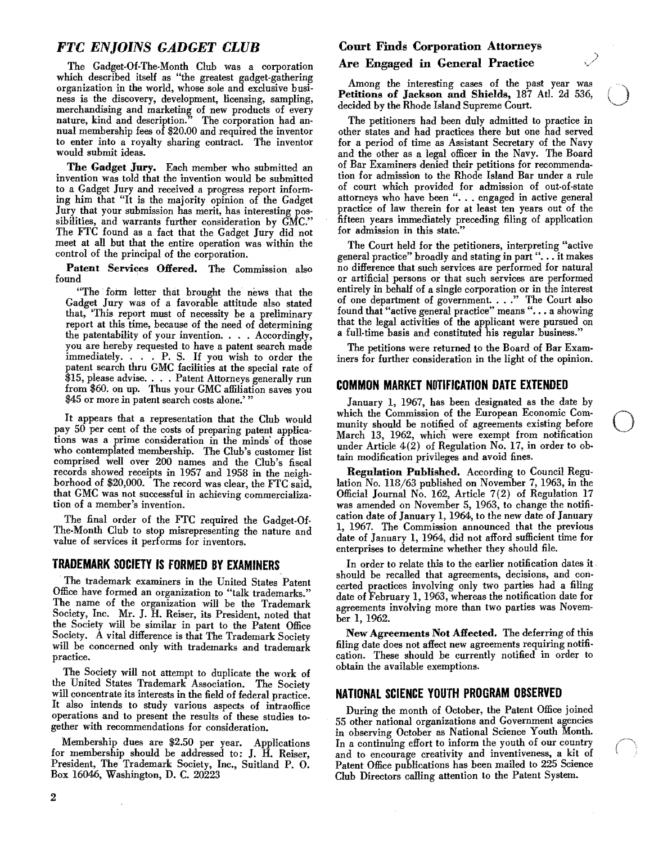## FTC ENJOINS GADGET CLUB

The Gadget-Of-The-Month Club was a corporation which described itself as "the greatest gadget-gathering organization in the world, whose sole and exclusive business is the discovery, development, licensing, sampling, merchandising and marketing of new products of every nature, kind and description." The corporation had annual membership fees of \$20.00 and required the inventor to enter into a royalty sharing contract. The inventor would submit ideas.

The Gadget Jury. Each member who submitted an invention was told that the invention would be submitted to a Gadget Jury and received a progress report informing him that "It is the majority opinion of the Gadget Jury that your submission has merit, has interesting possibilities, and warrants further consideration by GMC." The FTC found as a fact that the Gadget Jury did not meet at all but that the entire operation was within the control of the principal of the corporation.

Patent Services Offered. The Commission also found

"The form letter that brought the news that the Gadget Jury was of a favorable attitude also stated that, 'This report must of necessity be a preliminary report at this time, because of the need of determining the patentability of your invention. . . . Accordingly, you are hereby requested to have a patent search made immediately. . . . P. S. If you wish to order the patent search thru GMC facilities at the special rate of \$15, please advise. . . . Patent Attorneys generally run from \$60. on up. Thus your GMC affiliation saves you \$45 or more in patent search costs alone.'

It appears that a representation that the Club would pay 50 per cent of the costs of preparing patent applications was a prime consideration in the minds' of those who contemplated membership. The Club's customer list comprised well over 200 names and the Club's fiscal records showed receipts in 1957 and 1958 in the neighborhood of \$20,000. The record was clear, the FTC said, that GMC was not successful in achieving commercialization of a member's invention.

The final order of the FTC required the Gadget-Of-The-Month Club to stop misrepresenting the nature and value of services it performs for inventors.

#### IRADEMARK SOCIETY IS fORMED BY EXAMINERS

The trademark examiners in the United States Patent Office have formed an organization to "talk trademarks." The name of the organization will be the Trademark Society, Inc. Mr. J. H. Reiser, its President, noted that the Society will be similar in part to the Patent Office Society. A vital difference is that The Trademark Society will be concerned only with trademarks and trademark practice.

The Society will not attempt to duplicate the work of the United States Trademark Association. The Society will concentrate its interests in the field of federal practice. It also intends to study various aspects of intraoffice operations and to present the results of these studies together with recommendations for consideration.

Membership dues are \$2.50 per year. Applications for membership should be addressed to: J. H. Reiser, President, The Trademark Society, Inc., Suitland P. O. Box 16046, Washington, D. C. 20223

## Court Finds Corporation Attorneys Are Engaged in General Practice

Among the interesting cases of the past year was<br> **Petitions of Jackson and Shields,** 187 Atl. 2d 536, <br>
decided by the Rhode Island Supreme Court. Petitions of Jackson and Shields, 187 Atl. 2d 536, decided by the Rhode Island Supreme Court.

The petitioners had been duly admitted to practice in other states and had practices there but one had served for a period of time as Assistant Secretary of the Navy and the other as a legal officer in the Navy. The Board of Bar Examiners denied their petitions for recommendation for admission to the Rhode Island Bar under a rule of court which provided for admission of out·of-state attorneys who have been "... engaged in active general practice of law therein for at least ten years out of the fifteen years immediately preceding filing of application for admission in this state."

The Court held for the petitioners, interpreting "active general practice" broadly and stating in part "... it makes no difference that such. services are performed for naturaJ or artificial persons or that such services are performed entirely in behalf of a single corporation or in the interest of one department of government. . . ." The Court also found that "active general practice" means"... a showing that the legal activities of the applicant were pursued on a full· time basis and constituted his regular business."

The petitions were returned to the Board of Bar Exam· iners for further consideration in the light of the opinion.

#### COMMON MARKET NO'flflCATION DATE EXTENDED

January 1, 1967, has been designated as the date by which the Commission of the European Economic Community should be notified of agreements existing before March 13, 1962, which were exempt from notification under Article 4(2) of Regulation No. 17, in order to ob. tain modification privileges and avoid fines.

Regulation Published. According to Council Regu. lation No. 118/63 published on November 7, 1963, in the Official Journal No. 162, Article 7(2) of Regulation 17 was amended on November 5, 1963, to change the notifi· cation date of January 1, 1964, to the new date of January 1, 1967. The Commission announced that the previous date of January 1, 1964, did not afford sufficient time for enterprises to determine whether they should file.

In order to relate this to the earlier notification dates it should be recalled that agreements, decisions, and con· certed practices involving only two parties had a filing date of February 1,1963, whereas the notification date for agreements involving more than two parties was Novem· ber 1, 1962.

New Agreements Not Affected. The deferring of this filing date does not affect new agreements requiring notifi· cation. These should be currently notified in order to obtain the available exemptions.

#### NATIONAL SCIENCE YOUTH PROGRAM OBSERVED

During the month of October, the Patent Office joined 55 other national organizations and Government agencies in observing October as National Science Youth Month. In a continuing effort to inform the youth of our country and to encourage creativity and inventiveness, a kit of Patent Office publications has been mailed to 225 Science Club Directors calling attention to the Patent System.

2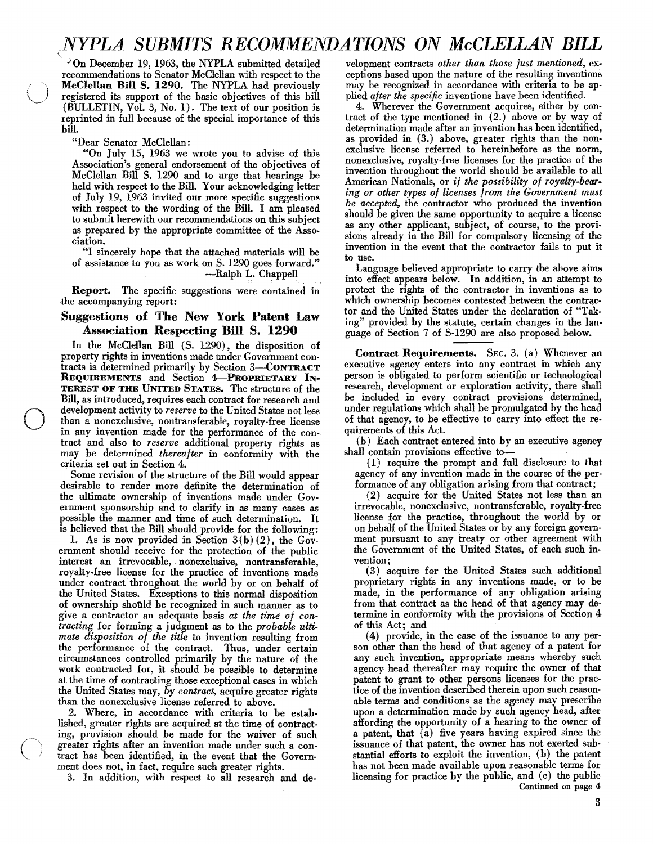# *(NYPLA SUBMITS RECOMMENDATIONS ON McCLELLAN BILL*

 $\sqrt{2}$ On December 19, 1963, the NYPLA submitted detailed recommendations to Senator McClellan with respect to the McClellan Bill S. 1290. The NYPLA had previously registered its support of the basic objectives of this bill (BULLETIN, Vol. 3, No.1). The text of our position is reprinted in full because of the special importance of this bill.

"Dear Senator McClellan:

"On July 15, 1963 we wrote you to advise of this Association's general endorsement of the objectives of McClellan Bill S. 1290 and to urge that hearings be held with respect to the Bill. Your acknowledging letter of July 19, 1963 invited our more specific suggestions with respect to the wording of the Bill. I am pleased to submit herewith our recommendations on this subject as prepared by the appropriate committee of the Association.

"I sincerely hope that the attached materials will be of assistance to you as work on S. 1290 goes forward." -Ralph L. Chappell

Report. The specific suggestions were contained in the accompanying report:

### Suggestions of The New York Patent Law Association Respecting Bill S. 1290

 $\bigcirc$  defined  $\bigcirc$ In the McClellan Bill (S. 1290), the disposition of property rights in inventions made under Government contracts is determined primarily by Section 3-CONTRACT REQUIREMENTS and Section 4-PROPRIETARY IN-TEREST OF THE UNITED STATES. The structure of the Bill, as introduced, requires each contract for research and development activity to *reserve* to the United States not less than a nonexclusive, nontransferable, royalty-free license in any invention made for the performance of the con-· tract and also to *reserve* additional property rights as may be determined *thereafter* in conformity with the criteria set out in Section 4.

> Some revision of the structure of the Bill would appear desirable to render more definite the determination of the ultimate ownership of inventions made under Government sponsorship and to clarify in as many cases as possible the manner and time of such determination. It is believed that the Bill should provide for the following:

> 1. As is now provided in Section  $3(b)(2)$ , the Government should receive for the protection of the public interest an irrevocable, nonexclusive, nontransferable, royalty-free license for the practice of inventions made under contract throughout the world by or on behalf of the United States. Exceptions to this normal disposition of ownership should be recognized in such manner as to circumstances controlled primarily by the nature of the the performance of the contract. Thus, under certain tracting for forming a judgment as to the *probable* give a contractor an adequate basis *at the time of mate disposition of the title*  to invention resulting from work contracted for, it should be possible to determine at the time of contracting those exceptional cases in which the United States may, *by contract,* acquire greater rights than the nonexclusive license referred to above.

> 2. Where, in accordance with criteria to be established, greater rights are acquired at the time of contracting, provision should be made for the waiver of such greater rights after an invention made under such a contract has been identified, in the event that the Government does not, in fact, require such greater rights.

3. In addition, with respect to all research and de-

velopment contracts *other than those just mentioned,* exceptions based upon the nature of the resulting inventions may be recognized in accordance with criteria to be applied *after the specific* inventions have been identified.

4. Wherever the Government acquires, either by contract of the type mentioned in (2.) above or by way of determination made after an invention has heen identified, as provided in (3.) above, greater rights than the nonexclusive license referred to hereinbefore as the norm, nonexclusive, royalty-free licenses for the practice of the invention throughout the world should be available to all American Nationals, or *if the possibility of royalty-bear*ing or other types of licenses from the Government must *be accepted,* the contractor who produced the invention should be given the same opportunity to acquire a license as any other applicant, subject, of course, to the provisions already in the Bill for compulsory licensing of the invention in the event that the contractor fails to put it to use.

Language believed appropriate to carry the above aims into effect appears below. In addition, in an attempt to protect the rights of the contractor in inventions as to which ownership becomes contested between the contractor and the United States under the declaration of "Taking" provided by the statute, certain changes in the language of Section 7 of S-1290 are also proposed below.

Contract Requirements. SEC. 3. (a) Whenever an' executive agency enters into any contract in which any person is obligated to perform scientific or technological research, development or exploration activity, there shall be included in every contract provisions determined, under regulations which shall be promulgated by the head of that agency, to be effective to carry into effect the requirements of this Act.

(b) Each contract entered into by an executive agency shall contain provisions effective to

(1) require the prompt and full disclosure to that agency of any invention made in the course of the performance of any obligation arising from that contract;

(2) acquire for the United States not less than an irrevocable, nonexclusive, nontransferable, royalty-free license for the practice, throughout the world by or on behalf of the United States or by any foreign government pursuant to any treaty or other agreement with the Government of the United States, of each such invention;

*con-*termine in conformity with the provisions of Section 4 *ulti-*of this Act; and . (3) acquire for the United States such additional proprietary rights in any inventions made, or to be made, in the pertormance of any obligation arising from that contract as the head of that agency may de-

(4) provide, in the case of the issuance to any person other than the head of that agency of a patent for any such invention, appropriate means whereby such agency head thereafter may require the owner of that patent to grant to other persons licenses for the practice of the invention described therein upon such reasonable terms and conditions as the agency may prescribe upon a determination made by such agency head, after affording the opportunity of a hearing to the owner of a patent, that (a) five years having expired since the issuance of that patent, the owner has not exerted substantial efforts to exploit the invention, (b) the patent has not been made available upon reasonable terms for licensing for practice by the public, and (c) the public Continued on page 4: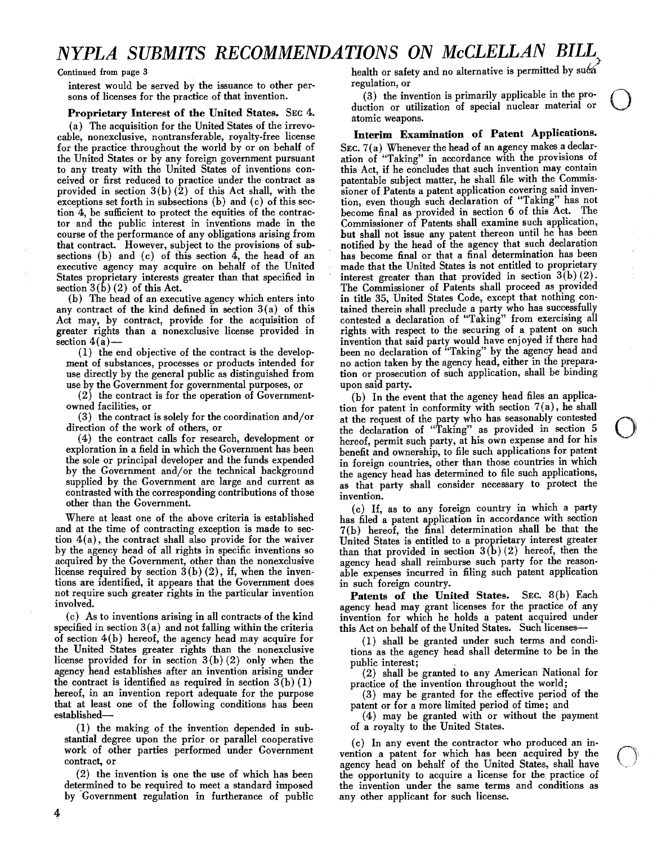# *NYPLA SUBMITS RECOMMENDATIONS ON McCLELLAN BILL*

interest would be served by the issuance to other per- regulation, or sons of licenses for the practice of that invention. (3) the contract of the United States. SEC 4. duction atomic v sons of licenses for the practice of that invention.

r roprietary interest of the United States. Sec. 4.<br>(a) The acquisition for the United States of the irrevo-<br>ble, nonexclusive, nontransferable, rovalty-free license **Interim Examination of Patent Applications.** cable, nonexclusive, nontransferable, royalty-free license for the practice throughout the world by or on behalf of SEC.  $7(a)$  Whenever the head of an agency makes a declar-<br>the United States or by any foreign government pursuant ation of "Taking" in accordance with the provision to any treaty with the United States of inventions con-<br>ceived or first reduced to practice under the contract as patentable subject matter, he shall file with the Commisceived or first reduced to practice under the contract as patentable subject matter, he shall file with the Commis provided in section  $3(b)$  (2) of this Act shall, with the sioner of Patents a patent application covering said inven provided in section 3(b)(2) of this Act shall, with the sioner of Patents a patent application covering said inven-<br>exceptions set forth in subsections (b) and (c) of this sec-<br>tion, even though such declaration of "Taking tion 4, be sufficient to protect the equities of the contrac- become final as provided in section 6 of this Act. The tor and the public interest in inventions made in the Commissioner of Patents shall examine such application, course of the performance of any obligations arising from but shall not issue any patent thereon until he has been<br>that contract. However, subject to the provisions of sub-<br>notified by the head of the agency that such decl sections (b) and (c) of this section  $\hat{4}$ , the head of an has become final or that a final determination has been<br>executive agency may acquire on behalf of the United made that the United States is not entitled to prop executive agency may acquire on behalf of the United made that the United States is not entitled to proprietary<br>States proprietary interests greater than that specified in interest greater than that provided in section 3(b States proprietary interests greater than that specified in

any contract of the kind defined in section 3(a) of this tained therein shall preclude a party who has successfully Act may, by contract, provide for the acquisition of contested a declaration of "Taking" from exercising all Act may, by contract, provide for the acquisition of contested a declaration of "Taking" from exercising all greater rights than a nonexclusive license provided in rights with respect to the securing of a patent on such se

use by the Government for governmental purposes, or upon said party.

direction of the work of others, or

 $(4)$  the contract calls for research, development or contrasted with the corresponding contributions of those invention.<br>  $\frac{d}{dx} \int_{-\infty}^{\infty}$ supplied by the Government are large and current as<br>
contrasted with the corresponding contributions of those<br>
other than the Government.<br>
(c) If, as to any foreign country in which a party

tion  $4(a)$ , the contract shall also provide for the waiver United States is entitled to a proprietary interest greater<br>by the agency head of all rights in specific inventions so than that provided in section  $3(b)(2)$  hereo by the agency head of all rights in specific inventions so acquired by the Government, other than the nonexclusive acquired by the Government, other than the nonexclusive agency head shall reimburse such party for the reason-<br>license required by section  $3(b)(2)$ , if, when the inven-<br>able expenses incurred in filing such patent applicat tions are identified, it appears that the Government does not require such greater rights in the particular invention **Patents of the United States.** SEC. 8(b) Each involved.

specified in section  $3(a)$  and not falling within the criteria of section  $4(b)$  hereof, the agency head may acquire for  $(1)$  shall be granted under such terms and condi-<br>the United States greater rights than the nonexclusive tions as the agency head shall determine to be in the license provided for in section  $3(b)(2)$  only when the public interest; agency head establishes after an invention arising under (2) shall be the contract is identified as required in section  $3(b) (1)$  practice of the invention throughout the world;<br>hereof, in an invention report adequate for the purpose (3) may be granted for the effective period of the hereof, in an invention report adequate for the purpose that at least one of the following conditions has been patent or for a more limited period of time; and

 $(1)$  the making of the invention depended in substantial degree upon the prior or parallel cooperative

by Government regulation in furtherance of public any other applicant for such license.

Continued from page 3 health or safety and no alternative is permitted by such

 $(3)$  the invention is primarily applicable in the proor utilization of special nuclear material  $\int_{\text{or}}^{\infty}$   $\bigcirc$ 

ation of "Taking" in accordance with the provisions of this Act, if he concludes that such invention may contain notified by the head of the agency that such declaration  $\frac{1}{2}$  section  $3(\dot{b})$  (2) of this Act.<br>
(b) The head of an executive agency which enters into in title 35, United States Code, except that nothing conin title 35, United States Code, except that nothing con $s(n)$  invention that said party would have enjoyed if there had<br>(1) the end objective of the contract is the develop-<br>been no declaration of "Taking" by the agency head and (1) the end objective of the contract is the develop-<br>
ment of substances, processes or products intended for<br>
mo action taken by the agency head, either in the preparano action taken by the agency head, either in the preparause directly by the general public as distinguished from tion or prosecution of such application, shall be binding

(2) the contract is for the operation of Government- (b) In the event that the agency head files an applicaowned facilities, or<br>
(3) the contract is solely for the coordination and/or at the request of the party who has seasonably contested<br>
(3) the contract is solely for the coordination and/or at the request of the party who at the request of the party who has seasonably contested the declaration of "Taking" as provided in section 5 hereof, permit such party, at his own expense and for his o exploration in a field in which the Government has been benefit and ownership, to file such applications for patent<br>the sole or principal developer and the funds expended in foreign countries, other than those countries in the sole or principal developer and the funds expended in foreign countries, other than those countries in which<br>by the Government and/or the technical background the agency head has determined to file such applications, by the Government and/or the technical background the agency head has determined to file such applications, supplied by the Government are large and current as as that party shall consider necessary to protect the

Where at least one of the above criteria is established has filed a patent application in accordance with section and at the time of contracting exception is made to sec-  $7(b)$  hereof, the final determination shall be tha  $7(b)$  hereof, the final determination shall be that the able expenses incurred in filing such patent application in such foreign country.

volved.<br>(c) As to inventions arising in all contracts of the kind invention for which he holds a patent acquired under invention for which he holds a patent acquired under this Act on behalf of the United States. Such licenses—

tions as the agency head shall determine to be in the

 $(2)$  shall be granted to any American National for

established—<br>(1) the making of the invention depended in sub-<br>of a royalty to the United States.

 (c) In any event the contractor who produced an inwork of other parties performed under Government<br>contract, or<br>a patent bead on hehalf of the United States shall have ntract, or<br>(2) the invention is one the use of which has been the opportunity to acquire a license for the practice of (2) the invention is one the use of which has been the opportunity to acquire a license for the practice of determined to be required to meet a standard imposed the invention under the same terms and conditions as the invention under the same terms and conditions as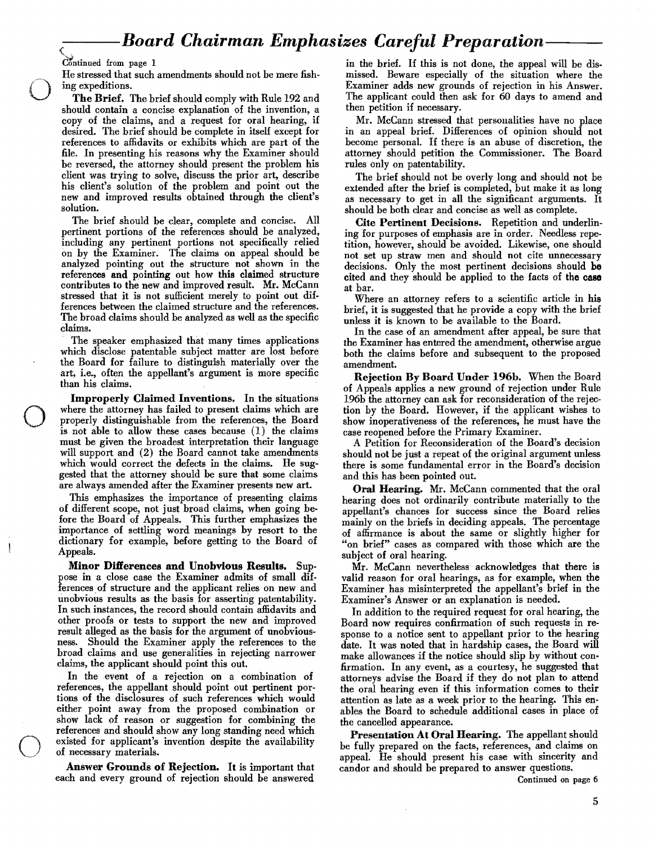# *---Board Chairman Emphasizes Careful Preparation--*

o

o

He stressed that such amendments should not be mere fishing expeditions.

The Brief. The brief should comply with Rule 192 and should contain a concise explanation of the invention, a copy of the claims, and a request for oral hearing, if desired. The brief should be complete in itself except for references to affidavits or exhibits which are part of the file. In presenting his reasons why the Examiner should be reversed, the attorney should present the problem his client was trying to solve, discuss the prior art, describe his client's solution of the problem and point out the new and improved results obtained through the client's solution.

The brief should be clear, complete and concise. All pertinent portions of the references should be analyzed, including any pertinent portions not specifically relied on by the Examiner. The claims on appeal should be analyzed pointing out the structure not shown in the references and pointing out how this claimed structure contributes to the new and improved result. Mr. McCann stressed that it is not sufficient merely to point out differences between the claimed structure and the references. The broad claims should be analyzed as well as the specific claims.

The speaker emphasized that many times applications which disclose patentable subject matter are lost before the Board for failure to distinguish materially over the art, i.e., often the appellant's argument is more specific than his claims.

Improperly Claimed Inventions. In the situations where the attorney has failed to present claims which are properly distinguishable from the references, the Board is not able to allow these cases because (1) the claims must be given the broadest interpretation their language will support and (2) the Board cannot take amendments which would correct the defects in the claims. He suggested that the attorney should be sure that some claims are always amended after the Examiner presents new art.

This emphasizes the importance of presenting claims of different scope, not just broad claims, when going before the Board of Appeals. This further emphasizes the importance of settling word meanings by resort to the dictionary for example, before getting to the Board of Appeals.

Minor Differences and Unobvious Results. Sup. pose in a close case the Examiner admits of small differences of structure and the applicant relies on new and unobvious results as the basis for asserting patentability. In such instances, the record should contain affidavits and other proofs or tests to support the new and improved result alleged as the basis for the argument of unobviousness. Should the Examiner apply the references to the broad claims and use generalities in rejecting narrower claims, the applicant should point this out.

In the event of a rejection on a combination of references, the appellant should point out pertinent portions of the disclosures of such references which would either point away from the proposed combination or show lack of reason or suggestion for combining the references and should show any long standing need which existed for applicant's invention despite the availability of necessary materials.

Answer Grounds of Rejection. It is important that candor and should be prepared to answer questions.<br>ch and every ground of rejection should be answered candor and should be prepared continued on page 6 each and every ground of rejection should be answered

Continued from page 1 in the brief. If this is not done, the appeal will be dismissed. Beware especially of the situation where the Examiner adds new grounds of rejection in his Answer. The applicant could then ask for 60 days to amend and then petition if necessary.

> Mr. McCann stressed that personalities have no place in an appeal brief. Differences of opinion should not become personal. If there is an abuse of discretion, the attorney should petition the Commissioner. The Board rules only on patentability.

> The brief should not be overly long and should not be extended after the brief is completed, but make it as long as necessary to get in all the significant arguments. It should be both clear and concise as well as complete.

> Cite Pertinent Decisions. Repetition and underlining for purposes of emphasis are in order. Needless repetition, however, should be avoided. Likewise, one should not set up straw men and should not cite unnecessary decisions. Only the most pertinent decisions should be cited and they should be applied to the facts of the case at bar.

> Where an attorney refers to a scientific article in his brief, it is suggested that he provide a copy with the brief unless it is known to be available to the Board.

> In the case of an amendment after appeal, be sure that the Examiner has entered the amendment, otherwise argue both the claims before and subsequent to the proposed amendment.

> Rejection By Board Under 196h. When the Board of Appeals applies a new ground of rejection under Rule 196b the attorney can ask for reconsideration of the rejection by the Board. However, if the applicant wishes to show inoperativeness of the references, he must have the case reopened before the Primary Examiner.

> A Petition for Reconsideration of the Board's decision should not be just a repeat of the original argument unless there is some fundamental error in the Board's decision and this has been pointed out.

> Oral Hearing. Mr. McCann commented that the oral hearing does not ordinarily contribute materially to the appellant's chances for success since the Board relies mainly on the briefs in deciding appeals. The percentage of affirmance is about the same or slightly higher for "on brief" cases as compared with those which are the subject of oral hearing.

> Mr. McCann nevertheless acknowledges that there is valid reason for oral hearings, as for example, when the Examiner has misinterpreted the appellant's brief in the Examiner's Answer or an explanation is needed.

> In addition to the required request for oral hearing, the Board now requires confirmation of such requests in response to a notice sent to appellant prior to the hearing date. It was noted that in hardship cases, the Board will make allowances if the notice should slip by without con· firmation. In any event, as a courtesy, he suggested that attorneys advise the Board if they do not plan to attend the oral hearing even if this information comes to their attention as late as a week prior to the hearing. This enables the Board to schedule additional cases in place of the cancelled appearance.

> Presentation At Oral Hearing. The appellant should be fully prepared on the facts, references, and claims on appeal. He should present his case with sincerity and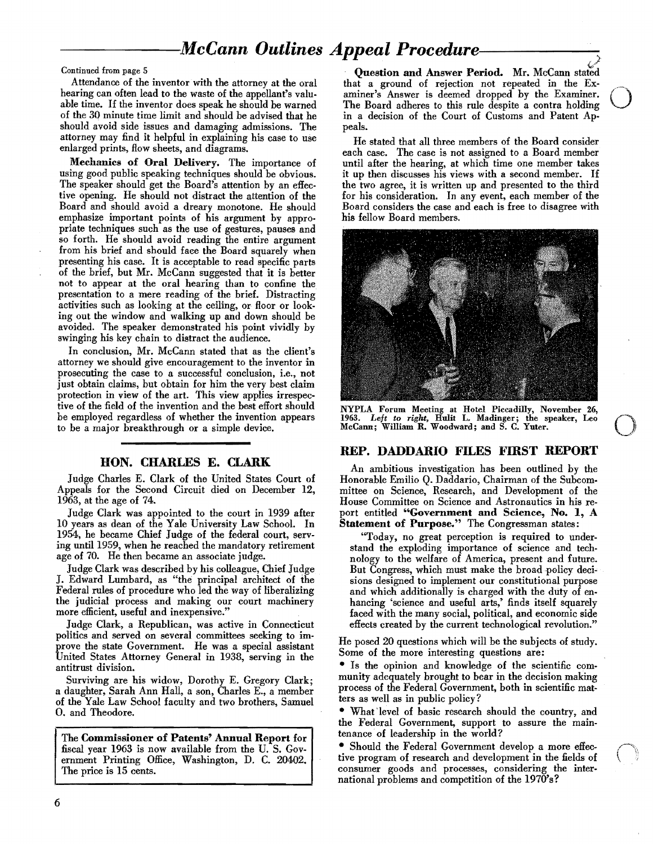# $\bm{M}$ cCann Outlines Appeal Procedure-

Continued from page 5

Attendance of the inventor with the attorney at the oral hearing can often lead to the waste of the appellant's valuable time. If the inventor does speak he should be warned of the 30 minute time limit and should be advised that he should avoid side issues and damaging admissions. The attorney may find it helpful in explaining his case to use enlarged prints, flow sheets, and diagrams.

Mechanics of Oral Delivery. The importance of using good public speaking techniques should be obvious. The speaker should get the Board's attention by an effective opening. He should not distract the attention of the Board and should avoid a dreary monotone. He should emphasize important points of his argument by appropriate techniques such as the use of gestures, pauses and so forth. He should avoid reading the entire argument from his brief and should face the Board squarely when presenting his case. It is acceptable to read specific parts of the brief, but Mr. McCann suggested that it is better not to appear at the oral hearing than to confine the presentation to a mere reading of the brief. Distracting activities such as looking at the ceiling, or floor or looking out the window and walking up and down should be avoided. The speaker demonstrated his point vividly by swinging his key chain to distract the audience.

In conclusion, Mr. McCann stated that as the client's attorney we should give encouragement to the inventor in prosecuting the case to a successful conclusion, i.e., not just obtain claims, but obtain for him the very best claim protection in view of the art. This view applies irrespective of the field of the invention and the best effort should be employed regardless of whether the invention appears to be a major breakthrough or a simple device.

### BON. CHARLES E. CLARK

Judge Charles E. Clark of the United States Court of Appeals for the Second Circuit died on December 12, 1963, at the age of 74.

Judge Clark was appointed to the court in 1939 after 10 years as dean of the Yale University Law School. In 1954, he became Chief Judge of the federal court, serving until 1959, when he reached the mandatory retirement age of 70. He then became an associate judge.

Judge Clark was described by his colleague, Chief Judge J. Edward Lumbard, as "the principal architect of the Federal rules of procedure who led the way of liberalizing the judicial process and making our court machinery more efficient, useful and inexpensive\_"

Judge Clark, a Republican, was active in Connecticut politics and served on several committees seeking to improve the state Government. He was a special assistant United States Attorney General in 1938, serving in the antitrust division.

Surviving are his widow, Dorothy E. Gregory Clark; a daughter, Sarah Ann Hall, a son, Charles E., a member of the Yale Law School facuIty and two brothers, Samuel O. and Theodore.

The Commissioner of Patents' Annual Report for fiscal year 1963 is now available from the U. S. Government Printing Office, Washington, D. C. 20402. The price is 15 cents.

,,) Question and Answer Period. Mr. McCann stated that a ground of rejection not repeated in the Examiner's Answer is deemed dropped by the Examiner. The Board adheres to this rule despite a contra holding in a decision of the Court of Customs and Patent Appeals.

He stated that all three members of the Board consider each case. The case is not assigned to a Board member until after the hearing, at which time one member takes it up then discusses his views with a second member. If the two agree, it is written up and presented to the third for his consideration. In any event, each member of the Board considers the case and each is free to disagree with his fellow Board members.



NYPLA Forum Meeting at Hotel Piccadilly, November 26, *1963. Left to right,* Hulit L. Madinger; the speaker, Leo McCann; William R. Woodward; and S. C. Yuter. ovember 26,<br>
eaker, Leo  $\bigcirc$ 

#### REP. DADDARIO FILES FIRST REPORT

An ambitious investigation has been outlined by the Honorable Emilio Q. Daddario, Chairman of the Subcommittee on Science, Research, and Development of the House Committee on Science and Astronautics in his report entitled "Government and Science, No. 1, A Statement of Purpose." The Congressman states:

"Today, no great perception is required to under stand the exploding importance of science and tech nology to the welfare of America, present and future. But Congress, which must make the broad-policy deci sions designed to implement our constitutional purpose and which additionally is charged with the duty of en hancing 'science and useful arts,' finds itself squarely faced with the many social, political, and economic side effects created by the current technological revolution."

He posed 20 questions which will he the subjects of study. Some of the more interesting questions are:

• Is the opinion and knowledge of the scientific community adequately brought to bear in the decision making process of the Federal Government, both in scientific matters as well as in public policy?

• What'level of basic research should the country, and the Federal Government, support to assure the maintenance of leadership in the world?

• Should the Federal Government develop a more effective program of research and development in the fields of consumer goods and processes, considering the international problems and competition of the 1970's?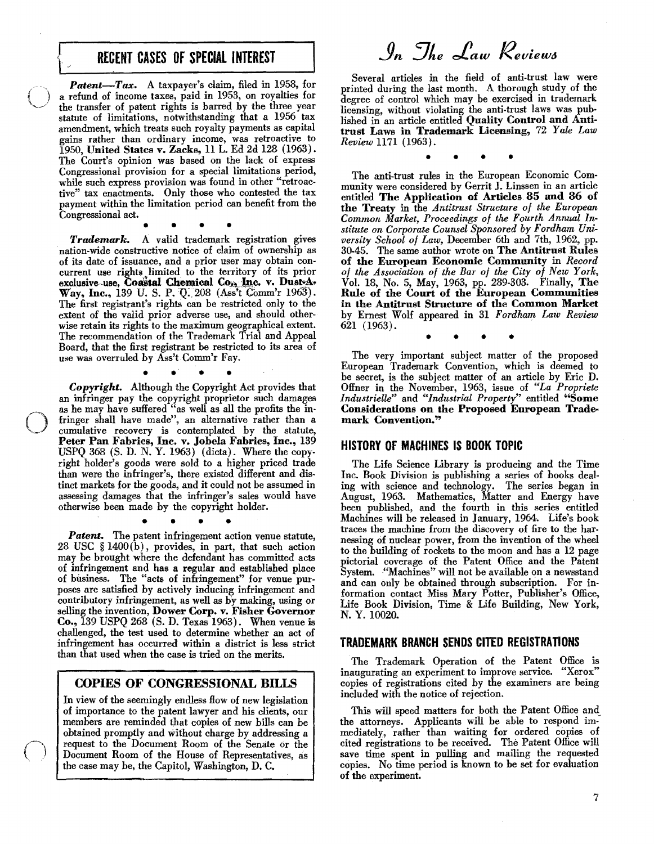# RECENT CASES OF SPECIAL INTEREST

*Patent*-Tax. A taxpayer's claim, filed in 1958, for a refund of income taxes, paid in 1953, on royalties for the transfer of patent rights is barred by the three year statute of limitations, notwithstanding that a 1956 tax amendment, which treats such royalty payments as capital gains rather than ordinary income, was retroactive to 1950, United States v. Zacks, U L. Ed 2d 128 (1963). The Court's opinion was based on the lack of express Congressional provision for a special limitations period, while such express provision was found in other "retroactive" tax enactments. Only those who contested the tax payment within the limitation period can benefit from the Congressional act.

• • • •

Trademark. A valid trademark registration gives nation-wide constructive notice of claim of ownership as of its date of issuance, and a prior user may obtain concurrent use rights limited to the territory of its prior exclusive use, Coastal Chemical Co., Inc. v. Dust-A-Way, Inc., 139 U. S. P. Q. 208 (Ass't Comm'r 1963). The first registrant's rights can be restricted only to the extent of the valid prior adverse use, and should otherwise retain its rights to the maximum geographical extent. The recommendation of the Trademark Trial and Appeal Board, that the first registrant be restricted to its area of use was overruled byASs'tComm'r Fay. • .' • •

*Copyright.* Although the Copyright Act provides that an infringer pay the copyright proprietor such damages as he may have suffered "as well as all the profits the infringer shall have made", an alternative rather than a cumulative recovery is contemplated by the statute, Peter Pan Fabrics, Inc. v. Jobela Fabrics, Inc., 139 USPQ 368  $(S. D. N. Y. 1963)$  (dicta). Where the copyright holder's goods were sold to a higher priced trade than were the infringer's, there existed different and distinct markets for the goods, and it could not be assumed in assessing damages that the infringer's sales would have otherwise been made by the copyright holder.

 $\bigcirc$ 

• • • •

Patent. The patent infringement action venue statute, 28 USC § 1400(b), provides, in part, that such action may be brought where the defendant has committed acts of infringement and has a regular and established place of business. The "acts of infringement" for venue purposes are satisfied by actively inducing infringement and contributory infringement, as well as by making, using or selling the invention, Dower Corp. v. Fisher Governor Co., 139 USPQ 268 (5. D. Texas 1963). When venue is challenged, the test used to determine whether an act of infringement has occurred within a district is less strict than that used when the case is tried on the merits.

## COPIES OF CONGRESSIONAL BILLS

In view of the seemingly endless How of new legislation of importance to the patent lawyer and his clients, our members are reminded that copies of new bills can be obtained promptly and without charge by addressing a request to the Document Room of the Senate or the Document Room of the House of Representatives, as the case may be, the Capitol, Washington, D. C.

In The Law Reviews

Several articles in the field of anti-trust law were printed during the last month. A thorough study of the degree of control which may be exercised in trademark licensing, without violating the anti-trust laws was published in an article entitled Quality Control and Antitrust Laws in Trademark Licensing, 72 *Yale Law Review* 1171 (1963).

• • • •

The anti-trust rules in the European Economic Community were considered by Gerrit J. Linssen in an article entitled The Applieation of Articles 85 and 86 of the Treaty in the *Antitrust Structure 0/ the European Common Market, Proceedings 0/ the Fourth Annual Institute on Corporate Counsel Sponsored by Fordham University School 0/ Law,* December 6th and 7th, 1962, pp. 30-45. The same author wrote on The Antitrust Rules of the European Economic Community in *Record 0/ the Association of the Bar 0/ the City 0/ New York,*  Vol. 18, No.5, May, 1963, pp. 289-303. Finally, The Rule of the Court of the European Communities in the Antitrust Structure of the Common Market by Ernest Wolf appeared in 31 *Fordham Law Review*  621 (1963).

• • • •

The very important subject matter of the proposed European Trademark Convention, which is deemed to be secret, is the subject matter of an article by Eric D. Offner in the November, 1963, issue of *"La Propriete Industrielle"* and *"Industrial Property"* entitled "Some Considerations on the Proposed European Trademark Convention."

#### HISTORY OF MACHINES IS BOOK TOPIC

The Life Science Library is producing and the Time Inc. Book Division is publishing a series of books dealing with science and technology. The series began in August, 1963. Mathematics, Matter and Energy have been published, and the fourth in this series entitled Machines will be released in January, 1964. Life's book traces the machine from the discovery of fire to the harnessing of nuclear power, from the invention of the wheel to the building of rockets to the moon and has a 12 page pictorial coverage of the Patent Office and the Patent System. "Machines" will not be available on a newsstand and can only be obtained through subscription. For information contact Miss Mary Potter, Publisher's Office, Life Book Division, Time & Life Building, New York, N. Y. 10020.

#### TRADEMARK BRANCH SENDS CITED REGISTRATIONS

The Trademark Operation of the Patent Office is inaugurating an experiment to improve service. "Xerox" copies of registrations cited by the examiners are being included with the notice of rejection.

This will speed matters for both the Patent Office and\_ the attorneys. Applicants will be able to respond immediately, rather than waiting for ordered copies of cited registrations to be received. The Patent Office will save time spent in pulling and mailing the requested copies. No time period is known to be set for evaluation of the experiment.